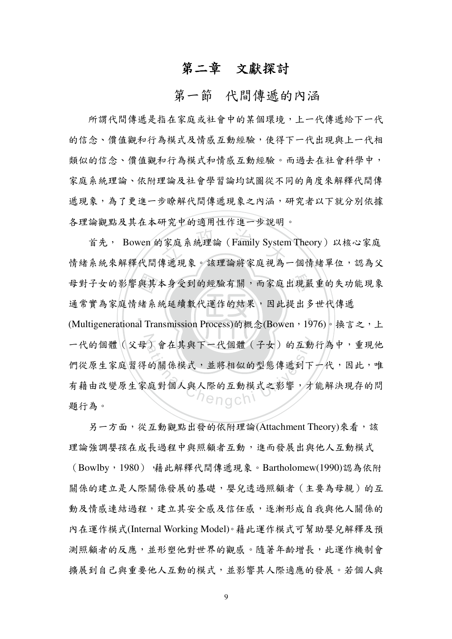# 第二章 文獻探討

## 第一節 代間傳遞的內涵

所謂代間傳遞是指在家庭或社會中的某個環境,上一代傳遞給下一代 的信念、僧值觀和行為模式及情感互動經驗,使得下一代出現與上一代相 類似的信念、價值觀和行為模式和情感互動經驗。而過去在社會科學中, 家庭系統理論、依附理論及社會學習論均試圖從不同的角度來解釋代間傳 遞現象,為了更進一步瞭解代間傳遞現象之內涵,研究者以下就分別依據 各理論觀點及其在本研究中的適用性作進一步說明。

首先, Bowen 的家庭系統理論 (Family System Theory) 以核心家庭 情緒系統來解釋代間傳遞現象。該理論將家庭視為一個情緒單位,認為父 母對子女的影響與其本身受到的經驗有關,而家庭出現嚴重的失功能現象 通常實為家庭情緒系統延續數代運作的結果,因此提出多世代傳遞 (Multigenerational Transmission Process)的概念(Bowen, 1976)。換言之, 上 一代的個體(父母)會在其與下一代個體(子女)的互動行為中,重現他 們從原生家庭習得的關係模式,並將相似的型態傳遞到下一代,因此,唯 有藉由改變原生家庭對個人與人際的互動模式之影響,才能解決現存的問 hengch! 題行為。

另一方面,從互動觀點出發的依附理論(Attachment Theory)來看,該 理論強調嬰孩在成長過程中與照顧者互動,進而發展出與他人互動模式 (Bowlby, 1980) · 藉此解釋代間傳遞現象。Bartholomew(1990)認為依附 關係的建立是人際關係發展的基礎,嬰兒透過照顧者(主要為母親)的互 動及情感連結過程,建立其安全感及信任感,逐漸形成自我與他人關係的 內在運作模式(Internal Working Model)。藉此運作模式可幫助嬰兒解釋及預 測照顧者的反應,並形塑他對世界的觀感。隨著年齡增長,此運作機制會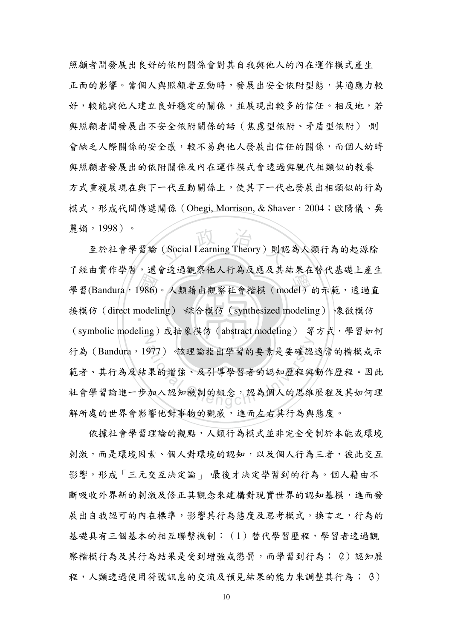照顧者間發展出良好的依附關係會對其自我與他人的內在運作模式產生 正面的影響。當個人與照顧者互動時,發展出安全依附型態,其適應力較 好,較能與他人建立良好穩定的關係,並展現出較多的信任。相反地,若 與照顧者間發展出不安全依附關係的話 (焦慮型依附、矛盾型依附) 側 會缺乏人際關係的安全感,較不易與他人發展出信任的關係,而個人幼時 與照顧者發展出的依附關係及內在運作模式會透過與親代相類似的教養 方式重複展現在與下一使其下一代也發展出相類似的行為 模式,形成代間傳遞關係 (Obegi, Morrison, & Shaver, 2004;歐陽儀、吳 麗娟, 1998)。

學習(Bandura, 1986)。人類藉由觀察社會楷模 (model) 的示範,透過直<br>接模仿 (direct modeling) 綜合模仿 (synthesized modeling) 、象徵模仿 (Social Learning Theory) 則認 接模仿(direct modeling) 綜合模仿(synthesized modeling) 像徵模仿 (symbolic modeling)或抽象模仿 (abstract modeling) 等方式,學習如何 977)。該理論指出學習的要素是要確認:<br>果的增強、及引導學習者的認知歷程與:<br>加入認知機制的概念,認為個人的思維 至於社會學習論 (Social Learning Theory) 則認為人類行為的起源除 了經由實作學習,還會透過觀察他人行為反應及其結果在替代基礎上產生 行為 (Bandura, 1977) 該理論指出學習的要素是要確認適當的楷模或示 靶者、具行為及結未的增强、及引导学省者的認知歴程與勤作歴程。因此 社會學習論進一步加入認知機制的概念,認為個人的思維歷程及其如何理 解所處的世界會影響他對事物的觀感,進而左右其行為與態度。

依據社會學習理論的觀點,人類行為模式並非完全受制於本能或環境 刺激,而是環境因素、個人對環境的認知,以及個人行為三者,彼此交互 影響,形成「三元交互決定論」,最後才決定學習到的行為。個人藉由不 斷吸收外界新的刺激及修正其觀念來建構對現實世界的認知基模,進而發 展出自我認可的內在標準,影響其行為熊度及思考模式。換言之,行為的 基礎具有三個基本的相互聯繫機制: (1)替代學習歷程,學習者透過觀 察楷模行為及其行為結果是受到增強或懲罰,而學習到行為; 2)認知歷 程,人類透過使用符號訊息的交流及預見結果的能力來調整其行為; 6)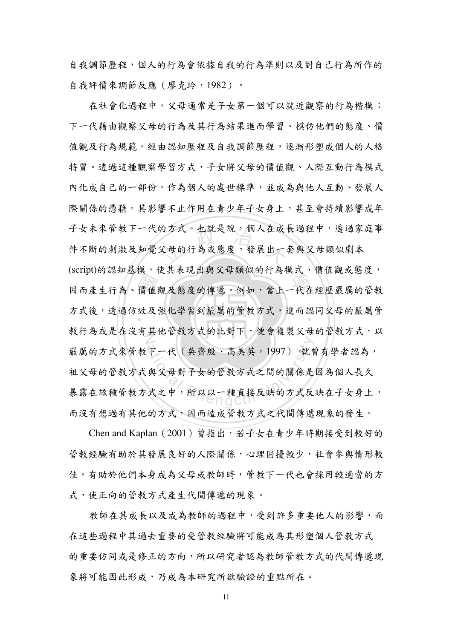自我調節歷程,個人的行為會依據自我的行為準則以及對自己行為所作的 自我評價來調節反應 (廖克玲, 1982)。

價 效 片 的万式。也就走說,個人任成1<br>父母的行為或態度,發展出一 (sorport, as, ABO, 以入在究出只又不然以出行為以人 保监既以恐及 万 式後, 透 遒 仿 效 及 强 化 学 智 到 嚴 庽 的 官 教 万 式 , 進 而 認 问 父 母 的 厭 庽 官<br>一 教行為或走住沒有具他官教力式的比對下,便曾複製父母的官教力式,以 下一代(吳齊殷、高美英,1997)就曾<br>與父母對子女的管教方式之間的關係是<br>式之中,所以以一種直接反映的方式反 在社會化過程中,父母通常是子女第一個可以就近觀察的行為楷模; 下一代藉由觀察父母的行為及其行為結果進而學習、模仿他們的態度、價 值觀及行為規範,經由認知歷程及自我調節歷程,逐漸形塑成個人的人格 特質。透過這種觀察學習方式,子女將父母的價值觀、人際互動行為模式 內化成自己的一部份,作為個人的處世標準,並成為與他人互動、發展人 際關係的憑藉。其影響不止作用在青少年子女身上,其至會持續影響成年 子女未來管教下一代的方式。也就是說,個人在成長過程中,透過家庭事 忓个断的刺激及知觉父母的行為或悲度,赞展出一套與父母類似劇<mark>不</mark> (script)的認知基模,使其表現出與父母類似的行為模式、價值觀或態度, 嚴厲的方式來管教下一代(吳齊殷、高美英,1997) 就曾有學者認為, 祖父母的管教子女的管教方式之間的關係是因為個人長久 恭路在該種官教万式之甲,所以以一種直接反映的万式反映在十女身上, 而沒有想過有其他的方式,因而造成管教方式之代間傳遞現象的發生。

Chen and Kaplan  $(2001)$ 曾指出,若子女在青少年時期接受到較好的 管教經驗有助於其發展良好的人際關係,心理困擾較少,社會參與情形較 佳,有助於他們本身成為父母或教師時,管教下一代也會採用較適當的方 式,使正向的管教方式產生代間傳遞的現象。

教師在其成長以及成為教師的過程中,受到許多重要他人的影響,而 在這些過程中其過去重要的受管教經驗將可能成為其形塑個人管教方式 的重要仿同或是修正的方向,所以研究者認為教師管教方式的代間傳遞現 象將可能因此形成,乃成為本研究所欲驗證的重點所在。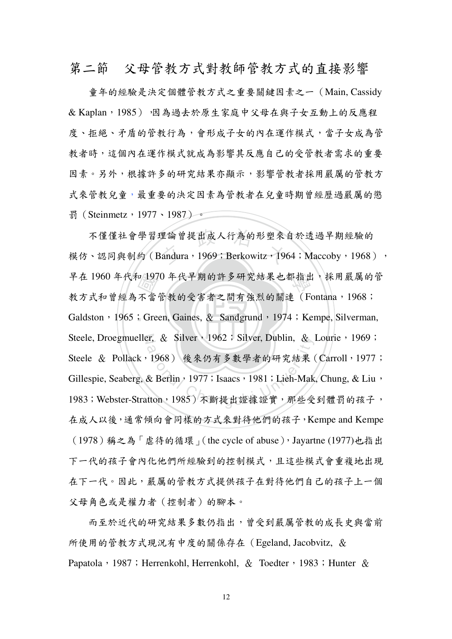第二節 父母管教方式野教師管教方式的直接影響

童年的經驗是決定個體管教方式之重要關鍵因素之一 (Main, Cassidy  $\&$  Kaplan, 1985) ,因為過去於原生家庭中父母在與子女互動上的反應程 度、拒絕、矛盾的管教行為,會形成子女的內在運作模式,當子女成為管 教者時,這個內在運作模式就成為影響其反應自己的受管教者需求的重要 因素。另外,根據許多的研究結果亦顯示,影響管教者採用嚴厲的管教方 式來管教兒童,最重要的決定因素為管教者在兒童時期曾經歷過嚴厲的懲 罰 (Steinmetz, 1977、1987)。

‧p 197<br>不當<br>;Gre 里論曾提出成人行為的形塑來1<br>landura,1969;Berkowitz,196 早在 1960 年代和 1970 年代早期的許多研究結果也都指出,採用嚴厲的管 Galdston,1965;Green, Gaines, & Sandgrund,1974;Kempe, Silverman, Steele, Droegmueller, & Silver, 1962 ; Silver, Dublin, & Lourie, 1969 ; er, & Silver, 1962, Silver, Dublin, &<br>1968) 後來仍有多數學者的研究結果<br>& Berlin, 1977; Isaacs, 1981; Lieh-Mak<br>tton, 1985) 不斷提出證據證實, 那些受 个俚俚社曾学曶埋論曾徒出成人行為的形塑米目於逡逈干期經驗的 模仿、認同與制約 (Bandura, 1969; Berkowitz, 1964; Maccoby, 1968), 教方式和曾經為不當管教的受害者之間有強烈的關連(Fontana, 1968; Steele & Pollack,1968)後來仍有多數學者的研究結果(Carroll,1977; Gillespie, Seaberg, & Berlin<sup>,</sup> 1977; Isaacs<sup>,</sup> 1981; Lieh-Mak, Chung, & Liu<sup>,</sup> 1983; Webster-Stratton, 1985)不斷提出證據證實,那些受到體罰的孩子, 在成人以後,通常傾向會同樣的方式來對待他們的孩子, Kempe and Kempe (1978)稱之為「虐待的循環」(the cycle of abuse), Jayartne (1977)也指出 下一代的孩子會內化他們所經驗到的控制模式,且這些模式會重複地出現 在下一代。因此,嚴厲的管教方式提供孩子在對待他們自己的孩子上一個 父母角色或是權力者(控制者)的腳本。

而至於近代的研究結果多數仍指出,曾受到嚴厲管教的成長史與當前 所使用的管教方式現況有中度的關係存在 (Egeland, Jacobvitz, & Papatola  $\cdot$  1987 ; Herrenkohl, Herrenkohl,  $\&$  Toedter  $\cdot$  1983 ; Hunter  $\&$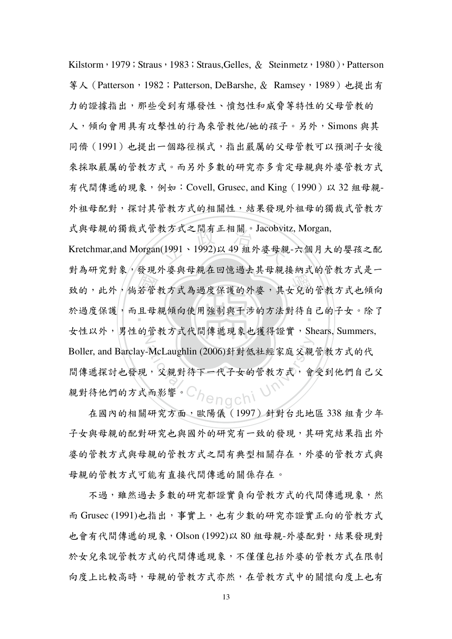Kilstorm,1979;Straus,1983;Straus,Gelles, & Steinmetz,1980),Patterson 等人 (Patterson, 1982; Patterson, DeBarshe, & Ramsey, 1989) 也提出有 力的證據指出,那些受到有爆發性、憤怒性和威脅等特性的父母管教的 人,傾向會用具有攻擊性的行為來管教他/她的孩子。另外, Simons 與其 同儕(1991)也提出一個路徑模式,指出嚴厲的父母管教可以預測子女後 來採取嚴厲的管教方式。而另外多數的研究亦多肯定母親與外婆管教方式 有代間傳遞的現象,例如: Covell, Grusec, and King (1990) 以 32 組母親-外祖母配對,探討其管教方式的相關性,結果發現外祖母的獨裁式管教方 式與母親的獨裁式管教方式之間有正相關。Jacobvitz, Morgan,

 國 學 ठޑǴԜѦǴঃऩᆅ௲БԄࣁၸߥࡋៈޑѦஇǴځζޑٽᆅ௲БԄΨӛ 牧カ式之間有止相關。Jacobvit<br>(1991、1992)以 49 組外婆母親 ‧ ܭၸߥࡋៈǴԶЪ҆ᒃӛ٬ҔமڋᆶυੋޑБݤჹࡑԾρޑηζǶନΑ 女性以外,男性的管教方式代間傳遞現象也獲得證實, Shears, Summers, McLaughlin (2006)針對低社經家庭父親 Kretchmar,and Morgan(1991、1992)以 49 組外婆母親-六個月大的嬰孩之配 對為研究對象,發現外婆與母親在回憶過去其母親接納式的管教方式是一 Boller, and Barclay-McLaughlin (2006)針對低社經家庭父親管教方式的代 间博遞採討也發現,义親對待下一代十女的官教方式,曾安到他們目已父 親對待他們的方式而影響。

在國內的相關研究方面,歐陽儀 (1997) 針對台北地區 338 組青少年 子女與母親的配對研究也與國外的研究有一致的發現,其研究結果指出外 婆的管教方式之間有典型相關存在,外婆的管教方式與 母親的管教方式可能有直接代間傳遞的關係存在。

不過,雖然過去多數的研究都證實負向管教方式的代間傳遞現象,然 而 Grusec (1991)也指出,事實上,也有少數的研究亦證實正向的管教方式 也會有代間傳遞的現象, Olson (1992)以 80 組母親-外婆配對, 結果發現對 於女兒來說管教方式的代間傳遞現象,不僅僅包括外婆的管教方式在限制 向度上比較高時,母親的管教方式亦然,在管教方式中的關懷向度上也有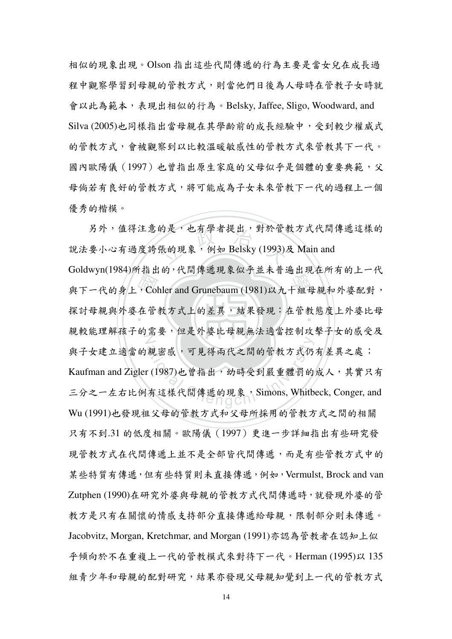相似的現象出現。Olson 指出這些代間傳遞的行為主要是當女兒在成長過 程中觀察學習到母親的管教方式,則當他們日後為人母時在管教子女時就 會以此為範本,表現出相似的行為。Belsky, Jaffee, Sligo, Woodward, and Silva (2005)也同樣指出當母親在其學齡前的成長經驗中,受到較少權威式 的管教方式來管教方式,會被觀察到以比較溫暖敏感性的管教方式來管教其下一代。 國內歐陽儀 (1997) 也曾指出原生家庭的父母似乎是個體的重要典範,父 母倘若有良好的管教方式,將可能成為子女未來管教下一代的過程上一個 優秀的楷模。

(Col<br>在管 的走,也有学者提出,對於官都<br><br>張的現象,例如 Belsky (1993) 學 ᆶΠжيޑǴCohler and Grunebaum (1981)аΐΜಔ҆ᒃکѦஇଛჹǴ 採討母親與外姿在官教乃式上的差異,結米發現·在官教態度上外姿比母 N ᒃၨૈှ࠸ηޑሡाǴՠࢂѦஇК҆ᒃคݤװڋᔐηζޑགڙϷ 親密感,可見得兩代之間的管教方式仍 另外,值得注意的是,也有學者提出,對於管教方式代間傳遞這樣的 說法要小心有過度誇張的現象,例如 Belsky (1993)及 Main and Goldwyn(1984)所指出的,代間傳遞現象似乎並未普遍出現在所有的上一代 與子女建立適當的親密感,可見得兩代之間的管教方式仍有差異之處; Kaufman and Zigler (1987)也曾指出,幼時受到嚴重體罰的成人,其實只有 三分之一左右比例有這樣代間傳遞的現象, Simons, Whitbeck, Conger, and Wu (1991)也發現祖父母的管教方式和父母所採用的管教方式之間的相關 只有不到.31 的低度相關。歐陽儀 (1997)更進一步詳細指出有些研究發 現管教方式在代間傳遞上並不是全部皆代間傳遞,而是有些管教方式中的 某些特質有傳遞,但有些特質則未直接傳遞,例如, Vermulst, Brock and van Zutphen (1990)在研究外婆與母親的管教方式代間傳遞時,就發現外婆的管 教方是只有在關懷的情感支持部分直接傳遞給母親,限問部分則未傳遞。 Jacobvitz, Morgan, Kretchmar, and Morgan (1991)亦認為管教者在認知上似 乎傾向於不在重複上一代的管教模式來對待下一代。Herman (1995)以 135 组青少年和母親的配對研究,結果亦發現父母親知覺到上一代的管教方式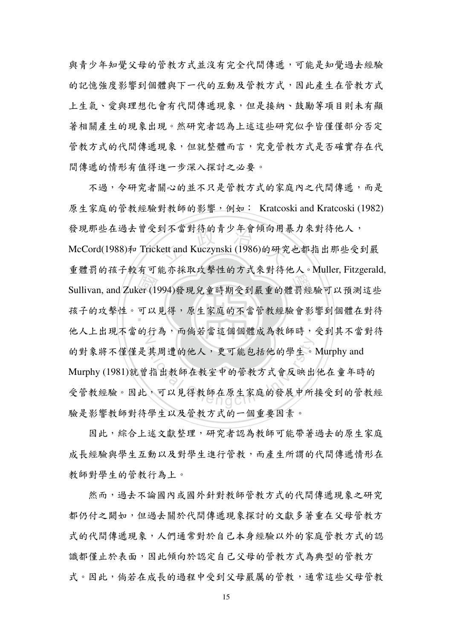與青少年知覺父母的管教方式並沒有完全代間傳遞,可能是知覺過去經驗 的記憶強度影響到個體與下一代的互動及管教方式,因此產生在管教方式 上生氣、愛與理想化會有代間傳遞現象,但是接納、鼓勵等項目則未有顯 著相關產生的現象出現。然研究者認為上述這些研究似乎皆僅僅部分否定 管教方式的代間傳遞現象,但就整體而言,究竟管教方式是否確實存在代 間傳遞的情形有值得進一步深入探討之必要。

er (19)<br>可以<br>11.15 引个富對待的育少年實傾向用<sub>表</sub><br>ett and Kuczynski (1986)的研究 學 Sullivan, and Zuker (1994)วٽูਔයډڙᝄख़ޑᡏᆦᡍёаႣෳ೭٤ ‧ ࠸ηװޑᔐ܄ǶёаـளǴচғৎޑόᆅ௲ᡍቹៜډঁᡏӧჹࡑ 他人上出块个富的行為,而倘右富适個個體成為教師时,定到具个富對符 其周遭的他人,更可能包括他的學生。<br>指出教師在教室中的管教方式會反映出<br>,可以見得教師在原生家庭的發展中所 不過,今研究者關心的並不只是管教方式的家庭內之代間傳遞,而是 原生家庭的管教經驗對教師的影響,例如: Kratcoski and Kratcoski (1982) 發現那些在過去曾受到不當對待的青少年會傾向用暴力來對待他人, McCord(1988)和 Trickett and Kuczynski (1986)的研究也都指出那些受到嚴 重體罰的孩子較有可能亦採取攻擊性的方式來對待他人。Muller, Fitzgerald, 的對象將不僅僅是其周遭的他人,更可能包括他的學生。Murphy and Murphy (1981)就曾指出教師在教室中的管教方式會反映出他在童年時的 受官教經驗。因此,可以見得教師在原生豕庭的發展甲所接受到的官教經 驗是影響教師對待學生以及管教方式的一個重要因素。

因此,綜合上述文獻整理,研究者認為教師可能帶著過去的原生家庭 成長經驗與學生互動以及對學生進行管教,而產生所謂的代間傳遞情形在 教師對學生的管教行為上。

然而,過去不論國內或國外針對教師管教方式的代間傳遞現象之研究 都仍付之關如,但過去關於代間傳遞現象探討的文獻多著重在父母管教方 式的代間傳遞現象,人們通常對於自己本身經驗以外的家庭管教方式的認 識都僅止於表面,因此傾向於認定自己父母的管教方式為典型的管教方 式。因此,倘若在成長的過程中受到父母嚴厲的管教,通常這些父母管教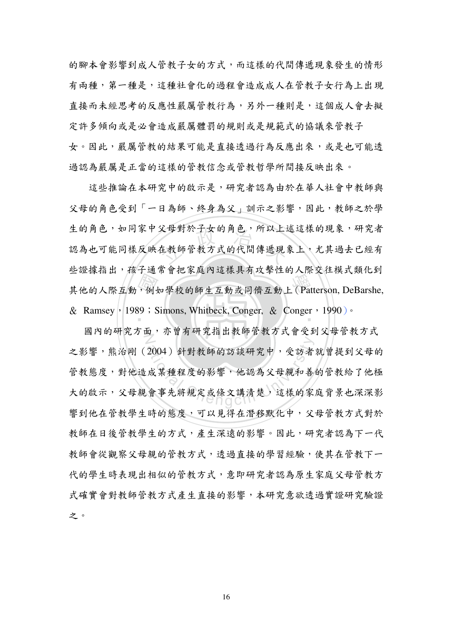的腳本會影響到成人管教子女的方式,而這樣的代間傳遞現象發生的情形 有兩種,第一種是,這種社會化的過程會造成成人在管教子女行為上出現 直接而未經思考的反應性嚴厲管教行為,另外一種則是,這個成人會去擬 定許多傾向或是必會造成嚴厲體罰的規則或是規範式的協議來管教子 女。因此,嚴厲管教的結果可能是直接透過行為反應出來,或是也可能透 過認為嚴厲是正當的這樣的管教信念或管教哲學所間接反映出來。

·<br>,例4<br>39;S 又母對於士女的用巴,所以上3<br><br>在教師管教方式的代間傳遞現 Ξω冰沿出 A., < Τω ΤΟ λ ( Τω Κ Λ ΤΟ ΤΗ ΤΟ ΣΤΑ ΣΗ ΤΟ ΧΥΜΙΟΣ) & Ramsey | 1989 : Simons, Whitbeck, Conger, & Conger , 1990 ) · 這些推論在本研究中的啟示是,研究者認為由於在華人社會中教師與 父母的角色受到「一日為師、終身為父」訓示之影響,因此,教師之於學 生的角色,如同家中父母對於子女的角色,所以上述這樣的現象,研究者 認為也可能同樣反映仕教師官教方式的代間傳遞現彖上,无具過去匕經有 些證據指出,孩子通常會把家庭內這樣具有攻擊性的人際交往模式類化到

國內的研究方面,小胃有研究指出教師官教方式曾受到义母官教方式 2004)針對教師的訪談研究中,受訪者<br>成某種程度的影響,他認為父母親和善<br>會事先將規定或條文講清楚,這樣的家 之影響,熊治剛(2004)針對教師的訪談研究中,受訪者就曾提到父母的 管教熊度,對他造成某種程度的影響,他認為父母親和善的管教給了他極 大的啟示,父母親曾爭先將規定或條又講清楚,這樣的豕庭肖素也深深影 響到他在管教學生時的態度,可以見得在潛移默化中,父母管教方式對於 教師在日後管教學生的方式,產生深遠的影響。因此,研究者認為下一代 教師會從觀察父母親的管教方式,透過直接的學習經驗,使其在管教下一 代的學生時表現出相似的管教方式,意即研究者認為原生家庭父母管教方 式確實會對教師管教方式產生直接的影響,本研究意欲透過實證研究驗證 之。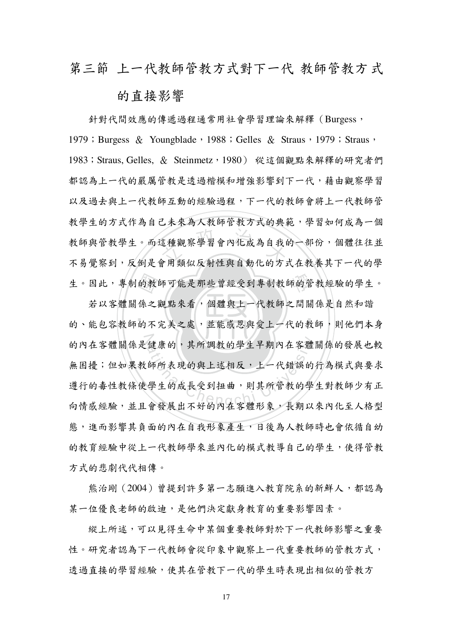### 第三節 上一代教師管教方式 苏丁一代 教師管教方式

### 的直接影響

を種觀察學習會內化成為自我的<br>全用類似反射性與自動化的方 生。因此,專制的教師可能是那些曾經受到專制教師的管教經驗的學生。 針對代間效應的傳遞過程通常用社會學習理論來解釋(Burgess, 1979; Burgess & Youngblade, 1988; Gelles & Straus, 1979; Straus, 1983; Straus, Gelles, & Steinmetz, 1980) 從這個觀點來解釋的研究者們 都認為トー代的嚴厲管對是诱渦楷模和增強影響到下一代, 藉由觀察學習 以及過去與上一代教師互動的經驗過程,下一代的教師會將上一代教師管 教學生的方式作為自己未來為人教師管教方式的典範,學習如何成為一個 教師與官教学生。而這種觀祭学習曾內化成為目我的一部份,個體往往亚 不易覺察到,反倒是會用類似反射性與自動化的方式在教養其下一代的學

‧的教|<br>係 之不 ‧ (健康的,其所調教的學生早期內在客體<br>(師所表現的與上述相反,上一代錯誤的<br><br><br><br><sup>! 學生的成長受到扭曲,則其所管教的學</sup> 若以客體關係之觀點來看,個體與上一代教師之間關係是自然和諧 的丶能包谷教師的不完美之處,亚能感恩與笈上一代的教師,則他們不身 的内社各體關係走健康的,具所調教的学生干期内社各體關係的發展也較 無困擾;但如果教師所表現的與上述相反,上一代錯誤的行為模式與要求 遵行的毒性教條使學生的成長受到扭曲,則其所管教的學生對教師少有正 向情感經驗,並且會發展出不好的內在客體形象,長期以來內化至人格型 態,進而影響其負面的內在自我形象產生,日後為人教師時也會依循自幼 的教育經驗中從上一代教師學來並內化的模式教導自己的學生,使得管教 方式的悲劇代代相傳。

能治剛(2004)曾提到許多第一志願進入教育院系的新鮮人,都認為 某一位優良老師的啟迪,是他們決定獻身教育的重要影響因素。

縱上所述,可以見得生命中某個重要教師對於下一代教師影響之重要 性。研究者認為下一代教師會從印象中觀察上一代重要教師的管教方式, 诱過直接的學習經驗,使其在管教下一代的學生時表現出相似的管教方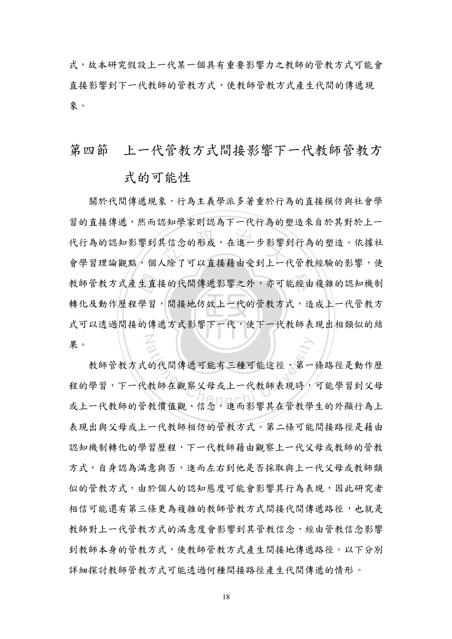式,故本研究假設上一代某一個具有重要影響力之教師的管教方式可能會 直接影響到下一代教師的管教方式,使教師管教方式產生代間的傳遞現 象。

上一代管教方式間接影響下一代教師管教方 第四節

#### 式的可能性

關於代間傳遞現象,行為主義學派多著重於行為的直接模仿與社會學 習的直接傳遞,然而認知學家則認為下一代行為的塑造來自於其對於上一 代行為的認知影響到其信念的形成,在進一步影響到行為的塑造。依據社 會學習理論觀點,個人除了可以直接藉由受到上一代管教經驗的影響,使 教師管教方式產生直接的代間傳遞影響之外,亦可能經由複雜的認知機制 轉化及動作歷程學習,間接地仿效上一代的管教方式,造成上一代管教方 式可以透過間接的傳遞方式影響下一代,使下一代教師表現出相類似的結 果。

教師管教方式的代間傳遞可能有三種可能途徑,第一條路徑是動作歷 程的學習,下一代教師在觀察父母或上一代教師表現時,可能學習到父母 或上一代教師的管教價值觀、信念,進而影響其在管教學生的外顯行為上 表現出與父母或上一代教師相仿的管教方式。第二條可能間接路徑是藉由 認知機制轉化的學習歷程,下一代教師藉由觀察上一代父母或教師的管教 方式,自身認為滿意與否,進而左右到他是否採取與上一代父母或教師類 似的管教方式,由於個人的認知態度可能會影響其行為表現,因此研究者 相信可能還有第三條更為複雜的教師管教方式間接代間傳遞路徑,也就是 教師對上一代管教方式的滿意度會影響到其管教信念,經由管教信念影響 到教師本身的管教方式,使教師管教方式產生間接地傳遞路徑。以下分別 詳細探討教師管教方式可能透過何種間接路徑產生代間傳遞的情形。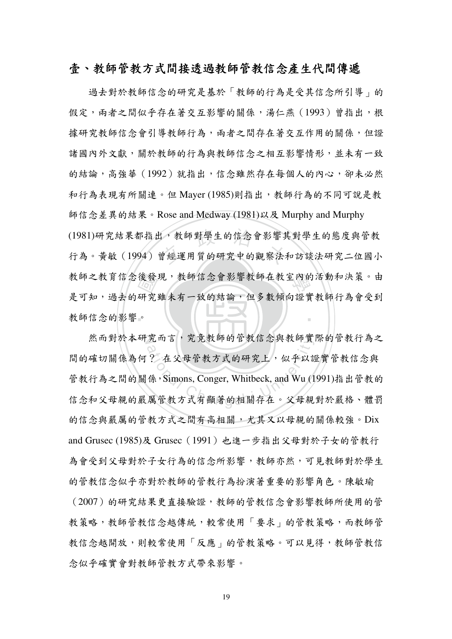#### 壹、教師管教五潤接透過教師管教信念產生代間傳遞

教師信念的影響。 後發,<br>研究<br>。 (1981)研究結果都指出,教師對學生的信念會影響其對學生的態度與管教<br>行為。黃敏 (1994) 曾經運用質的研究中的觀察法和訪談法研究二位國小 教師之教育信念後發現,教師信念會影響教師在教室內的活動和決策。由 ‧ 過去對於教師信念的研究是基於「教師的行為是受其信念所引導」的 假定,雨者之間似乎存在著交互影響的關係,湯仁燕(1993)曾指出,根 據研究教師信念會引導教師行為,兩者之間存在著交互作用的關係,但證 諸國內外文獻,關於教師的行為與教師信念之相互影響情形,並未有一致 的結論,高強華 (1992) 就指出,信念雖然存在每個人的內心,卻未必然 和行為表現有所關連。但 Mayer (1985)則指出,教師行為的不同可說是教 師信念差異的結果。Rose and Medway (1981)以及 Murphy and Murphy (1981)研究結果都指出,教師對學生的信念會影響其對學生的態度與管教 走可知,過去的研究雖未有一致的結論,但多數傾向證實教師行為曾受到

然而對於本研究而言,究竟教師的管教信念與教師實際的管教行為之 究而言, 究竟教師的官教信念與教師實<br>? 在父母管教方式的研究上, 似乎以該<br>係, Simons, Conger, Whitbeck, and Wu (1 间的傩切關係為何? 在父母官教方式的研究上,似乎以證實官教信念與 管教行為之間的關係, Simons, Conger, Whitbeck, and Wu (1991)指出管教的 信念和父母親的嚴厲管教方式有顯著的相關存在。父母親對於嚴格、體罰 的信念與嚴厲的管教方式之間有高相關,尤其又以母親的關係較強。Dix and Grusec (1985)及 Grusec (1991) 也進一步指出父母對於子女的管教行 為會受到父母對於子女行為的信念所影響,教師亦然,可見教師對於學生 的管教信念似乎亦對於教師的管教行為扮演著重要的影響角色。陳敏瑜 (2007)的研究結果更直接驗證,教師的管教信念會影響教師所使用的管 教策略,教師管教信念越傳統,較常使用「要求」的管教策略,而教師管 教信念越開放,則較常使用「反應」的管教策略。可以見得,教師管教信 念似乎確實會對教師管教方式帶來影響。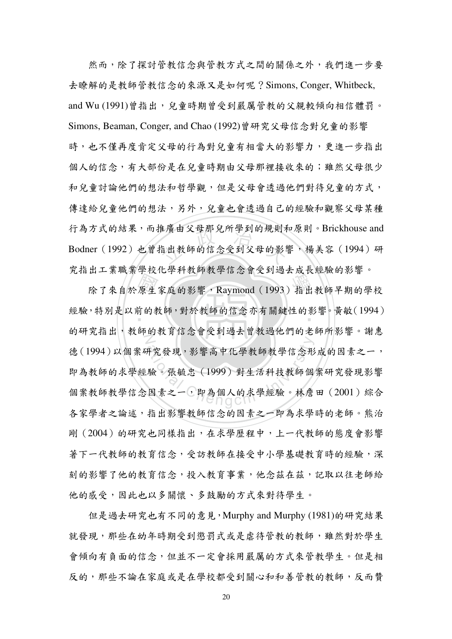<sub>医横田父母那兄所学到的规则有<br><br>指出教師的信念受到父母的影</sub> 然而,除了探討管教信念與管教方式之間的關係之外,我們進一步要 去瞭解的是教師管教信念的來源又是如何呢?Simons, Conger, Whitbeck, and Wu (1991)曾指出,兒童時期曾受到嚴厲管教的父親較傾向相信體罰。 Simons, Beaman, Conger, and Chao (1992)曾研究父母信念對兒童的影響 時,也不僅再度肯定父母的行為對兒童有相當大的影響力,更進一步指出 個人的信念,有大部份是在兒童時期由父母那裡接收來的;雖然父母很少 和兒童討論他們的想法和哲學觀,但是父母會透過他們對待兒童的方式, 傳達給兒童他們的想法,另外,兒童也會透過自己的經驗和觀察父母某種 行為方式的結果,而推廣由父母那兒所學到的規則和原則。Brickhouse and  $\mathsf{Bodner}\ (\,1992\,)$  也曾指出教師的信念受到父母的影響,楊美容( $1994$ )研 究指出工業職業學校化學科教師教學信念會受到過去成長經驗的影響。

出一系無人与大1994年投与后意音文字之公滅民ニ滅部務員<br>除了來自於原生家庭的影響, Raymond (1993)指出教師早期的學校<br>,特別是以前的教師,對於教師的信念亦有關鍵性的影響。黃敏(1994) 經驗,特別是以前的教師,對於教師的信念亦有關鍵性的影響。黃敏(1994) 的研究指出,教師的教育信念曾安到過去胃教過他們的老師所影響。謝思 开究發現,影響高中化學教師教學信念形<br>驗。張毓忠 (1999) 對生活科技教師個<br>因素之一,即為個人的求學經驗。林詹 德(1994)以個案研究發現,影響高中化學教師教學信念形成的因素之一, 即為教師的求學經驗。張毓忠 (1999)對生活科技教師個案研究發現影響 個案教師教學信念因素之一,即為個人的求學經驗。林詹田 (2001) 綜合 各家學者之論述,指出影響教師信念的因素之一即為求學時的老師。熊治 剛(2004)的研究也同樣指出,在求學歷程中,上一代教師的態度會影響 著下一代教師的教育信念,受訪教師在接受中小學基礎教育時的經驗,深 刻的影響了他的教育信念,投入教育事業,他念茲在茲,記取以往老師給 他的感受,因此也以多關懷、多鼓勵的方式來對待學生。

但是過去研究也有不同的意見, Murphy and Murphy (1981)的研究結果 就發現,那些在幼年時期受到懲罰式或是虐待管教的教師,雖然對於學生 會傾向有負面的信念,但並不一定會採用嚴厲的方式來管教學生。但是相 反的,那些不論在家庭或是在學校都受到關心和和善管教的教師,反而贊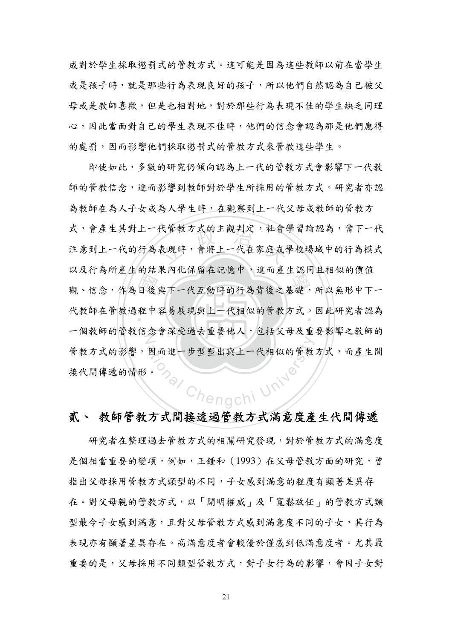成對於學生採取懲罰式的管教方式。這可能是因為這些教師以前在當學生 或是孩子時,就是那些行為表現良好的孩子,所以他們自然認為自己被父 母或是教師喜歡,但是也相對地,對於那些行為表現不佳的學生缺乏同理 心,因此當面對自己的學生表現不佳時,他們的信念會認為那是他們應得 的處罰,因而影響他們採取懲罰式的管教方式來管教這些學生。

即使如此,多數的研究仍傾向認為上一代的管教方式會影響下一代教 師的管教信念,進而影響到教師對於學生所採用的管教方式。研究者亦認 為教師在為人子女或為人學生時,在觀察到上一代父母或教師的管教方 式,會產生其對上一代管教方式的主觀判定,社會學習論認為,當下一代 注意到上一代的行為表現時,會將上一代在家庭或學校場域中的行為模式 以及行為所產生的結果內化保留在記憶中,進而產生認同且相似的價值 觀、信念,作為日後與下一代互動時的行為背後之基礎,所以無形中下一 代教師在管教過程中容易展現與上一代相似的管教方式。因此研究者認為 一個教師的管教信念會深受過去重要他人,包括父母及重要影響之教師的 管教方式的影響,因而進一步型塑出與上一代相似的管教方式,而產生間 Chengchi Unive 接代間傳遞的情形。

### 貳、 教師管教方式間接透過管教方式滿意度產生代間傳遞

研究者在整理過去管教方式的相關研究發現,對於管教方式的滿意度 是個相當重要的變項,例如,王鍾和 (1993) 在父母管教方面的研究,曾 指出父母採用管教方式類型的不同,子女感到滿意的程度有顯著差異存 在。對父母親的管教方式,以「開明權威」及「寬鬆放任」的管教方式類 型最令子女感到满意,且對父母管教方式感到滿意度不同的子女,其行為 表現亦有顯著差異存在。高滿意度者會較優於僅感到低滿意度者。尤其最 重要的是,父母採用不同類型管教方式,對子女行為的影響,會因子女對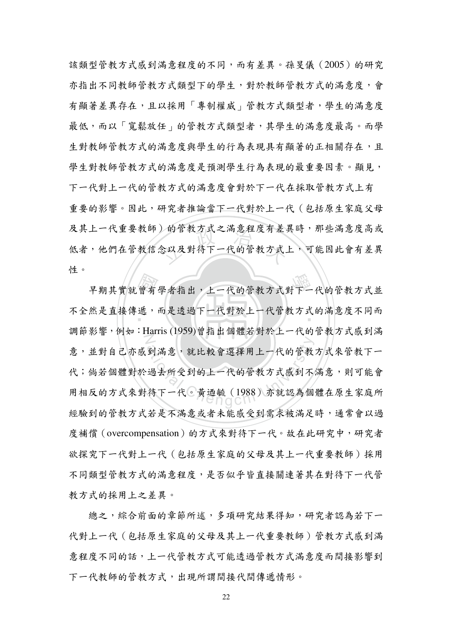) 的官教力式之滿意桂度有左;<br><br>念以及對待下一代的管教方式。 該類型管教方式感到滿意程度的不同,而有差異。孫旻儀 (2005)的研究 亦指出不同教師管教方式類型下的學生,對於教師管教方式的滿意度,會 有顯著差異存在,且以採用「專制權威」管教方式類型者,學生的滿意度 最低,而以「寬鬆放任」的管教方式類型者,其學生的滿意度最高。而學 生對教師管教方式的滿意度與學生的行為表現具有顯著的正相關存在,且 學生對教師管教方式的滿意度是預測學生行為表現的最重要因素。顯見, 下一代對上一代的管教方式的管教方式上有 重要的影響。因此,研究者推論當下一代對於上一代(包括原生家庭父母 及其上一代重要教師)的管教方式之滿意程度有差異時,那些滿意度高或 低者,他們在官教信念以及對符↑一代的官教方式上,可能因此曾有差**兵** 性。

早期其實就曾有學者指出,上一代的管教方式對下一代的管教方式並<br>然是直接傳遞,而是透過下一代對於上一代管教方式的滿意度不同而 个全然走直接得遞,而走透過下一代對於上一代官教乃式的滿意度不同而 N 到滿意,就比較會選擇用上一代的管教<br>過去所受到的上一代的管教方式感到不<br>待下一代。黃迺毓 (1988)亦就認為個 調節影響,例如: Harris (1959)曾指出個體若對於上一代的管教方式感到滿 意,並對自己亦感到滿意,就比較會選擇用上一代的管教方式來管教下一 代;倘若個體對於過去所受到的上一代的管教方式感到不滿意,則可能會 用相反的方式來對待下一代。黃迺毓(1988)亦就認為個體在原生家庭所 經驗到的管教方式若是不滿意或者未能感受到需求被滿足時,通常會以過 度補償 (overcompensation) 的方式來對待下一代。故在此研究中, 研究者 欲探究下一代對上一代〔包括原生家庭的父母及其上一代重要教師〕採用 不同類型管教方式的滿意程度,是否似乎皆直接關連著其在對待下一代管 教方式的採用上之差異。

總之,綜合前面的章節所述,多項研究結果得知,研究者認為若下一 代對上一代(包括原生家庭的父母及其上一代重要教師)管教方式感到滿 意程度不同的話,上一代管教方式涵管教方式滿意度而間接影響到 下一代教師的管教方式,出現所謂間接代間傳遞情形。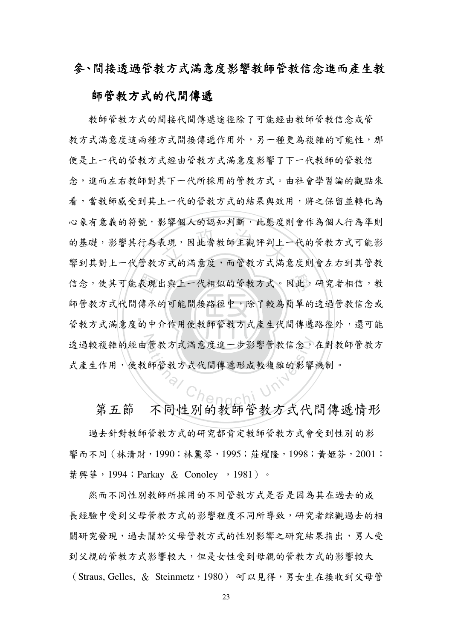#### 參、間接透過管教方式滿意度影響教師管教信念進而產生教

#### 師管教方式的代間傳遞

‧‧ 表 傳 的 ま現, 因此當教師主觀評判上<br><br>方式的満意度, 而管教方式満 信念,使其可能表現出與上一代相似的管教方式。因此,研究者相信,教 Tre 管教方式滿意度進一步影響管教信念,<br>師管教方式代間傳遞形成較複雜的影響 教師管教方式的間接代間傳遞途徑除了可能經由教師管教信念或管 教方式滿意度這兩種方式間接傳遞作用外,另一種更為複雜的可能性,那 便是上一代的管教方式密由管教方式满意度影響了下一代教師的管教信 念, 淮而左右對師對其下一代所採用的管教方式。由社會學習論的觀點來 看,當教師感受到其上一代的管教方式的結果與效用,將之保留並轉化為 心象有意義的符號,影響個人的認知判斷,此態度則會作為個人行為準則 的基礎,影響具行為表現,因此富教師王觀評判上一代的官教万式可能影 響到其對上一代管教方式的滿意度,而管教方式滿意度則會左右到其管教 帥官教万式代间傳承的可能同接路徑屮,除了較為間**早的透**適官教信念或 官教万式满意度的甲介作用使教師官教万式産生代间傳遞路徑外,返可能 透過戦稷裸的經田官教分式滿意度進一步影響官教信念,在對教師官教方 式産生作用,使教師官教万式代间傳遞形成較複維的影響機制。

第五節 不同性别的教師管教方式代間傳遞情形 過去針對教師管教方式的研究都肯定教師管教方式會受到性別的影 響而不同(林清財,1990;林麗琴,1995;莊燿隆,1998;<del>黃</del>姬芬,2001;

葉興華, 1994; Parkay & Conoley, 1981)。

然而不同性別教師所採用的不同管教方式是否是因為其在過去的成 長經驗中受到父母管教方式的影響程度不同所導致,研究者綜觀過去的相 關研究發現,過去關於父母管教方式的性別影響之研究結果指出,男人受 到父親的管教方式影響較大,但是女性受到母親的管教方式的影響較大 (Straus, Gelles, & Steinmetz, 1980) 可以見得,男女生在接收到父母管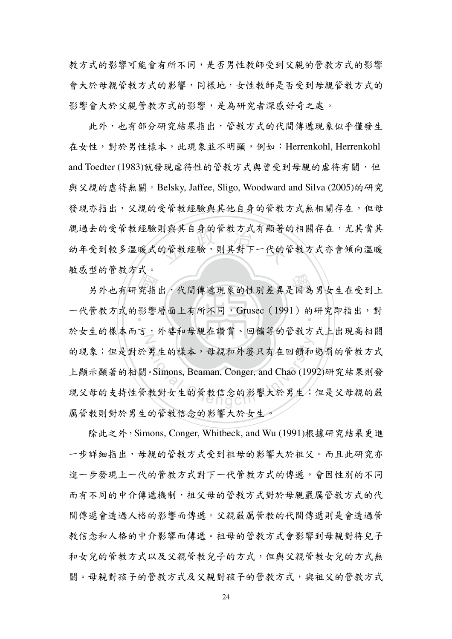教方式的影響可能會有所不同,是否男性教師受到父親的管教方式的影響 會大於母親管教方式的影響,同樣地,女性教師是否受到母親管教方式的 影響會大於父親管教方式的影響,是為研究者深感好奇之處。

則與具目身的官教方式有網者的<br><br><br><mark>的管教經驗,則其對下一代的</mark> 此外,也有部分研究結果指出,管教方式的代間傳遞現象似乎僅發生 在女性,對於男性樣本,此現象並不明顯,例如:Herrenkohl, Herrenkohl and Toedter (1983)就發現虐待性的管教方式與曾受到母親的虐待有關,但 與父親的虐待無關。Belsky, Jaffee, Sligo, Woodward and Silva (2005)的研究 發現亦指出,父親的受管教經驗與其他自身的管教方式無相關存在,但母 親過去的受管教經驗則與其自身的管教方式有顯著的相關存在,尤其當其 幼牛受到敦乡温暖式的官教經驗,則具對卜一代的官教方式小曾傾向温暖 敏感型的管教方式。

另外也有研究指出,代間傳遞現象的性別差異是因為男女生在受到上<br>管教方式的影響層面上有所不同,Grusec (1991)的研究即指出,對 一代管教方式的影響層面上有所不同, Grusec (1991) 的研究即指出, 對 於女生的秣本而言,外妥和母親在讀員、回領寺的官教力式上出現尚相關<br>
│ 男生的樣本,母親和外婆只有在回饋和。<br>Simons, Beaman, Conger, and Chao (199<br>教對女生的管教信念的影響大於男生; 的現象;但是對於男生的樣本,母親和外婆只有在回饋和懲罰的管教方式 上顯示顯著的相關。Simons, Beaman, Conger, and Chao (1992)研究結果則發 現父母的支持性官教對女生的官教信念的影響大於男生;但走父母親的嚴 厲管教則對於男生的管教信念的影響大於女生。

除此之外, Simons, Conger, Whitbeck, and Wu (1991)根據研究結果更進 一步詳細指出,母親的管教方式受到祖母的影響大於祖父。而且此研究亦 進一步發現上一代管教方式的傳遞,會因性別的不同 而有不同的中介傳遞機制,祖父母的管教方式對於母親嚴厲管教方式的代 間傳遞會透過人格的影響而傳遞。父親嚴厲管教的代間傳遞則是會透過管 教信念和人格的中介影響而傳遞。祖母的管教方式會影響到母親對待兒子 和女兒的管教方式规管教兒子的方式,但與父親管教女兒的方式無 關。母親對孩子的管教方式及父親對孩子的管教方式,與祖父的管教方式